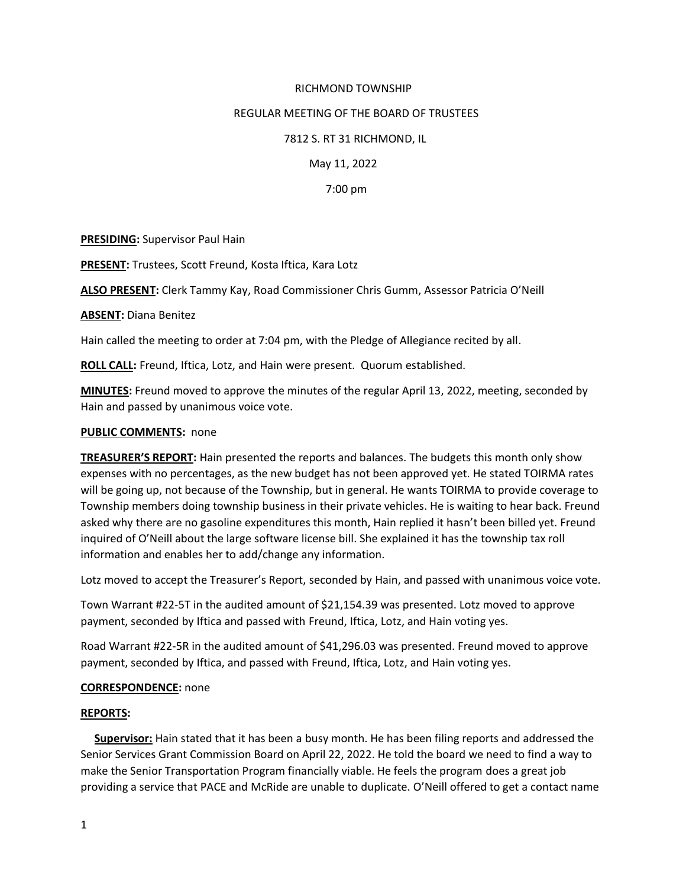## RICHMOND TOWNSHIP

### REGULAR MEETING OF THE BOARD OF TRUSTEES

### 7812 S. RT 31 RICHMOND, IL

May 11, 2022

7:00 pm

**PRESIDING:** Supervisor Paul Hain

**PRESENT:** Trustees, Scott Freund, Kosta Iftica, Kara Lotz

**ALSO PRESENT:** Clerk Tammy Kay, Road Commissioner Chris Gumm, Assessor Patricia O'Neill

**ABSENT:** Diana Benitez

Hain called the meeting to order at 7:04 pm, with the Pledge of Allegiance recited by all.

**ROLL CALL:** Freund, Iftica, Lotz, and Hain were present. Quorum established.

**MINUTES:** Freund moved to approve the minutes of the regular April 13, 2022, meeting, seconded by Hain and passed by unanimous voice vote.

#### **PUBLIC COMMENTS:** none

**TREASURER'S REPORT:** Hain presented the reports and balances. The budgets this month only show expenses with no percentages, as the new budget has not been approved yet. He stated TOIRMA rates will be going up, not because of the Township, but in general. He wants TOIRMA to provide coverage to Township members doing township business in their private vehicles. He is waiting to hear back. Freund asked why there are no gasoline expenditures this month, Hain replied it hasn't been billed yet. Freund inquired of O'Neill about the large software license bill. She explained it has the township tax roll information and enables her to add/change any information.

Lotz moved to accept the Treasurer's Report, seconded by Hain, and passed with unanimous voice vote.

Town Warrant #22-5T in the audited amount of \$21,154.39 was presented. Lotz moved to approve payment, seconded by Iftica and passed with Freund, Iftica, Lotz, and Hain voting yes.

Road Warrant #22-5R in the audited amount of \$41,296.03 was presented. Freund moved to approve payment, seconded by Iftica, and passed with Freund, Iftica, Lotz, and Hain voting yes.

## **CORRESPONDENCE:** none

### **REPORTS:**

 **Supervisor:** Hain stated that it has been a busy month. He has been filing reports and addressed the Senior Services Grant Commission Board on April 22, 2022. He told the board we need to find a way to make the Senior Transportation Program financially viable. He feels the program does a great job providing a service that PACE and McRide are unable to duplicate. O'Neill offered to get a contact name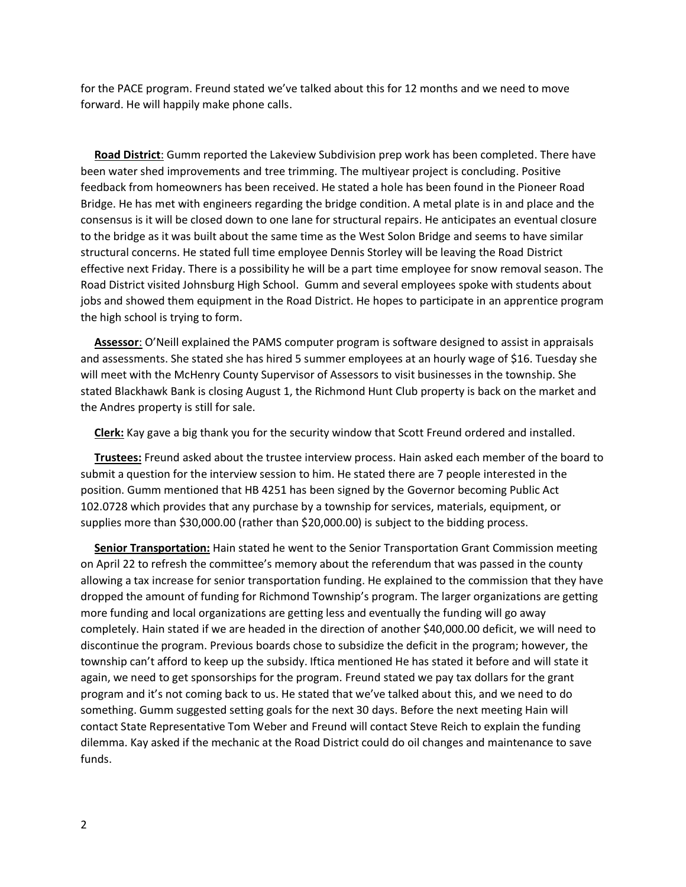for the PACE program. Freund stated we've talked about this for 12 months and we need to move forward. He will happily make phone calls.

 **Road District**: Gumm reported the Lakeview Subdivision prep work has been completed. There have been water shed improvements and tree trimming. The multiyear project is concluding. Positive feedback from homeowners has been received. He stated a hole has been found in the Pioneer Road Bridge. He has met with engineers regarding the bridge condition. A metal plate is in and place and the consensus is it will be closed down to one lane for structural repairs. He anticipates an eventual closure to the bridge as it was built about the same time as the West Solon Bridge and seems to have similar structural concerns. He stated full time employee Dennis Storley will be leaving the Road District effective next Friday. There is a possibility he will be a part time employee for snow removal season. The Road District visited Johnsburg High School. Gumm and several employees spoke with students about jobs and showed them equipment in the Road District. He hopes to participate in an apprentice program the high school is trying to form.

 **Assessor**: O'Neill explained the PAMS computer program is software designed to assist in appraisals and assessments. She stated she has hired 5 summer employees at an hourly wage of \$16. Tuesday she will meet with the McHenry County Supervisor of Assessors to visit businesses in the township. She stated Blackhawk Bank is closing August 1, the Richmond Hunt Club property is back on the market and the Andres property is still for sale.

**Clerk:** Kay gave a big thank you for the security window that Scott Freund ordered and installed.

 **Trustees:** Freund asked about the trustee interview process. Hain asked each member of the board to submit a question for the interview session to him. He stated there are 7 people interested in the position. Gumm mentioned that HB 4251 has been signed by the Governor becoming Public Act 102.0728 which provides that any purchase by a township for services, materials, equipment, or supplies more than \$30,000.00 (rather than \$20,000.00) is subject to the bidding process.

 **Senior Transportation:** Hain stated he went to the Senior Transportation Grant Commission meeting on April 22 to refresh the committee's memory about the referendum that was passed in the county allowing a tax increase for senior transportation funding. He explained to the commission that they have dropped the amount of funding for Richmond Township's program. The larger organizations are getting more funding and local organizations are getting less and eventually the funding will go away completely. Hain stated if we are headed in the direction of another \$40,000.00 deficit, we will need to discontinue the program. Previous boards chose to subsidize the deficit in the program; however, the township can't afford to keep up the subsidy. Iftica mentioned He has stated it before and will state it again, we need to get sponsorships for the program. Freund stated we pay tax dollars for the grant program and it's not coming back to us. He stated that we've talked about this, and we need to do something. Gumm suggested setting goals for the next 30 days. Before the next meeting Hain will contact State Representative Tom Weber and Freund will contact Steve Reich to explain the funding dilemma. Kay asked if the mechanic at the Road District could do oil changes and maintenance to save funds.